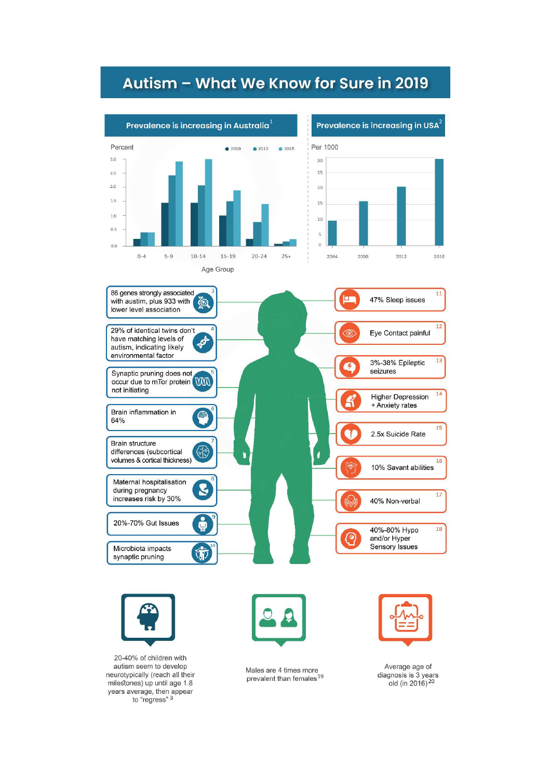## Autism - What We Know for Sure in 2019





20-40% of children with autism seem to develop neurotypically (reach all their milestones) up until age 1.8 years average, then appear<br>to "regress" <sup>3</sup>



Males are 4 times more<br>prevalent than females<sup>19</sup>



Average age of diagnosis is 3 years old (in 2016)<sup>20</sup>